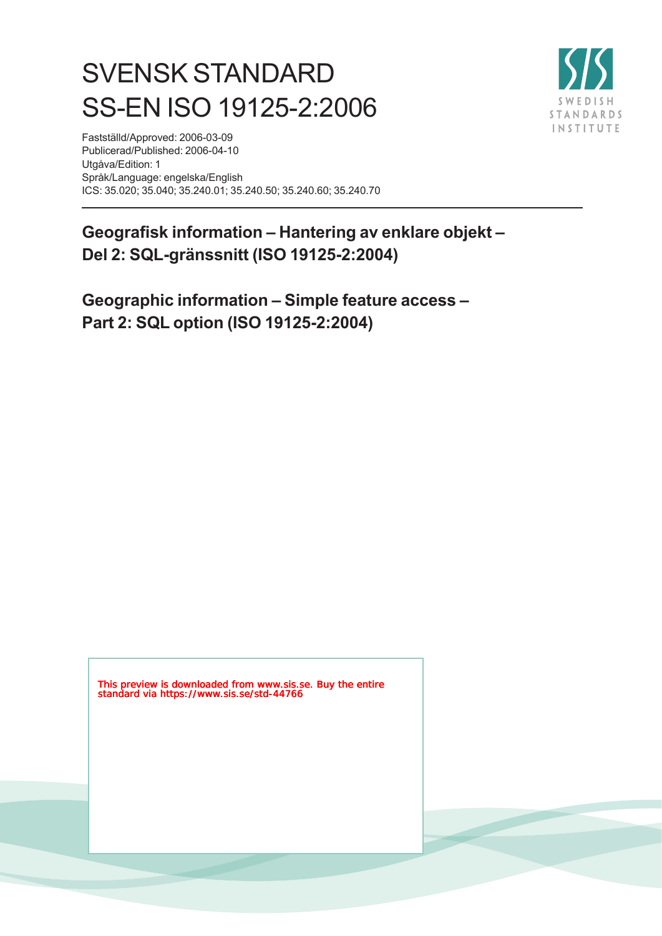# SVENSK STANDARD SS-EN ISO 19125-2:2006



Fastställd/Approved: 2006-03-09 Publicerad/Published: 2006-04-10 Utgåva/Edition: 1 Språk/Language: engelska/English ICS: 35.020; 35.040; 35.240.01; 35.240.50; 35.240.60; 35.240.70

**Geografisk information – Hantering av enklare objekt – Del 2: SQL-gränssnitt (ISO 19125-2:2004)**

**Geographic information – Simple feature access – Part 2: SQL option (ISO 19125-2:2004)**

This preview is downloaded from www.sis.se. Buy the entire standard via https://www.sis.se/std-44766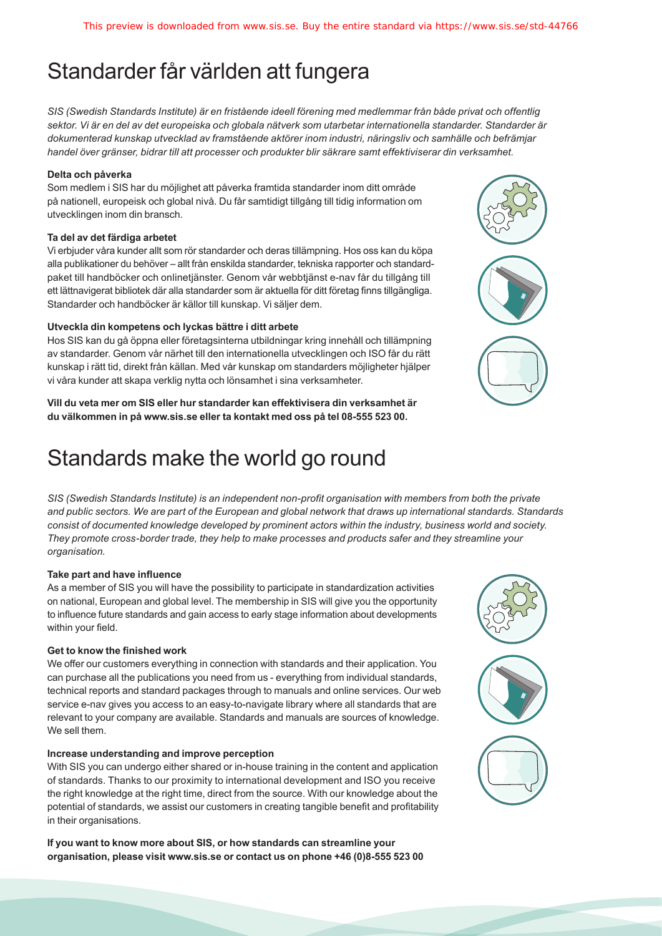## Standarder får världen att fungera

*SIS (Swedish Standards Institute) är en fristående ideell förening med medlemmar från både privat och offentlig sektor. Vi är en del av det europeiska och globala nätverk som utarbetar internationella standarder. Standarder är dokumenterad kunskap utvecklad av framstående aktörer inom industri, näringsliv och samhälle och befrämjar handel över gränser, bidrar till att processer och produkter blir säkrare samt effektiviserar din verksamhet.* 

#### **Delta och påverka**

Som medlem i SIS har du möjlighet att påverka framtida standarder inom ditt område på nationell, europeisk och global nivå. Du får samtidigt tillgång till tidig information om utvecklingen inom din bransch.

#### **Ta del av det färdiga arbetet**

Vi erbjuder våra kunder allt som rör standarder och deras tillämpning. Hos oss kan du köpa alla publikationer du behöver – allt från enskilda standarder, tekniska rapporter och standardpaket till handböcker och onlinetjänster. Genom vår webbtjänst e-nav får du tillgång till ett lättnavigerat bibliotek där alla standarder som är aktuella för ditt företag finns tillgängliga. Standarder och handböcker är källor till kunskap. Vi säljer dem.

#### **Utveckla din kompetens och lyckas bättre i ditt arbete**

Hos SIS kan du gå öppna eller företagsinterna utbildningar kring innehåll och tillämpning av standarder. Genom vår närhet till den internationella utvecklingen och ISO får du rätt kunskap i rätt tid, direkt från källan. Med vår kunskap om standarders möjligheter hjälper vi våra kunder att skapa verklig nytta och lönsamhet i sina verksamheter.

**Vill du veta mer om SIS eller hur standarder kan effektivisera din verksamhet är du välkommen in på www.sis.se eller ta kontakt med oss på tel 08-555 523 00.**

## Standards make the world go round

*SIS (Swedish Standards Institute) is an independent non-profit organisation with members from both the private and public sectors. We are part of the European and global network that draws up international standards. Standards consist of documented knowledge developed by prominent actors within the industry, business world and society. They promote cross-border trade, they help to make processes and products safer and they streamline your organisation.*

#### **Take part and have influence**

As a member of SIS you will have the possibility to participate in standardization activities on national, European and global level. The membership in SIS will give you the opportunity to influence future standards and gain access to early stage information about developments within your field.

#### **Get to know the finished work**

We offer our customers everything in connection with standards and their application. You can purchase all the publications you need from us - everything from individual standards, technical reports and standard packages through to manuals and online services. Our web service e-nav gives you access to an easy-to-navigate library where all standards that are relevant to your company are available. Standards and manuals are sources of knowledge. We sell them.

#### **Increase understanding and improve perception**

With SIS you can undergo either shared or in-house training in the content and application of standards. Thanks to our proximity to international development and ISO you receive the right knowledge at the right time, direct from the source. With our knowledge about the potential of standards, we assist our customers in creating tangible benefit and profitability in their organisations.

**If you want to know more about SIS, or how standards can streamline your organisation, please visit www.sis.se or contact us on phone +46 (0)8-555 523 00**



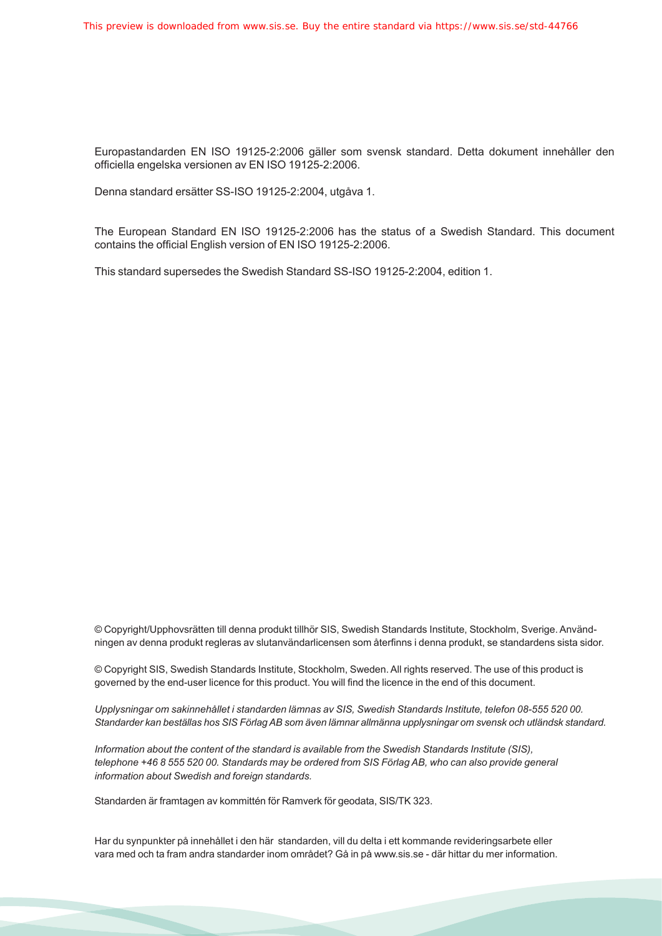Europastandarden EN ISO 19125-2:2006 gäller som svensk standard. Detta dokument innehåller den officiella engelska versionen av EN ISO 19125-2:2006.

Denna standard ersätter SS-ISO 19125-2:2004, utgåva 1.

The European Standard EN ISO 19125-2:2006 has the status of a Swedish Standard. This document contains the official English version of EN ISO 19125-2:2006.

This standard supersedes the Swedish Standard SS-ISO 19125-2:2004, edition 1.

© Copyright/Upphovsrätten till denna produkt tillhör SIS, Swedish Standards Institute, Stockholm, Sverige. Användningen av denna produkt regleras av slutanvändarlicensen som återfinns i denna produkt, se standardens sista sidor.

© Copyright SIS, Swedish Standards Institute, Stockholm, Sweden. All rights reserved. The use of this product is governed by the end-user licence for this product. You will find the licence in the end of this document.

*Upplysningar om sakinnehållet i standarden lämnas av SIS, Swedish Standards Institute, telefon 08-555 520 00. Standarder kan beställas hos SIS Förlag AB som även lämnar allmänna upplysningar om svensk och utländsk standard.*

*Information about the content of the standard is available from the Swedish Standards Institute (SIS), telephone +46 8 555 520 00. Standards may be ordered from SIS Förlag AB, who can also provide general information about Swedish and foreign standards.*

Standarden är framtagen av kommittén för Ramverk för geodata, SIS/TK 323.

Har du synpunkter på innehållet i den här standarden, vill du delta i ett kommande revideringsarbete eller vara med och ta fram andra standarder inom området? Gå in på www.sis.se - där hittar du mer information.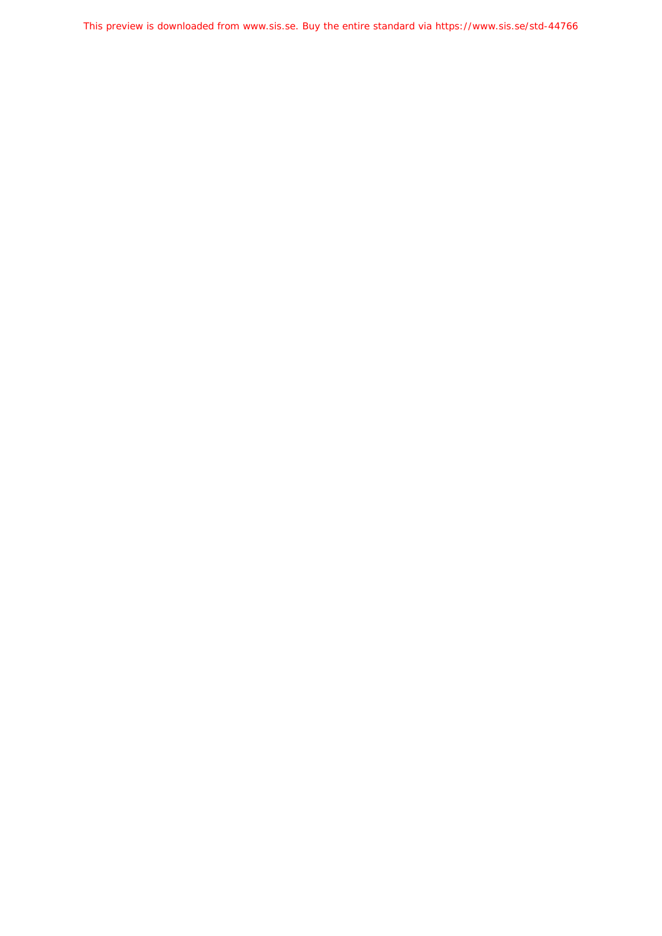This preview is downloaded from www.sis.se. Buy the entire standard via https://www.sis.se/std-44766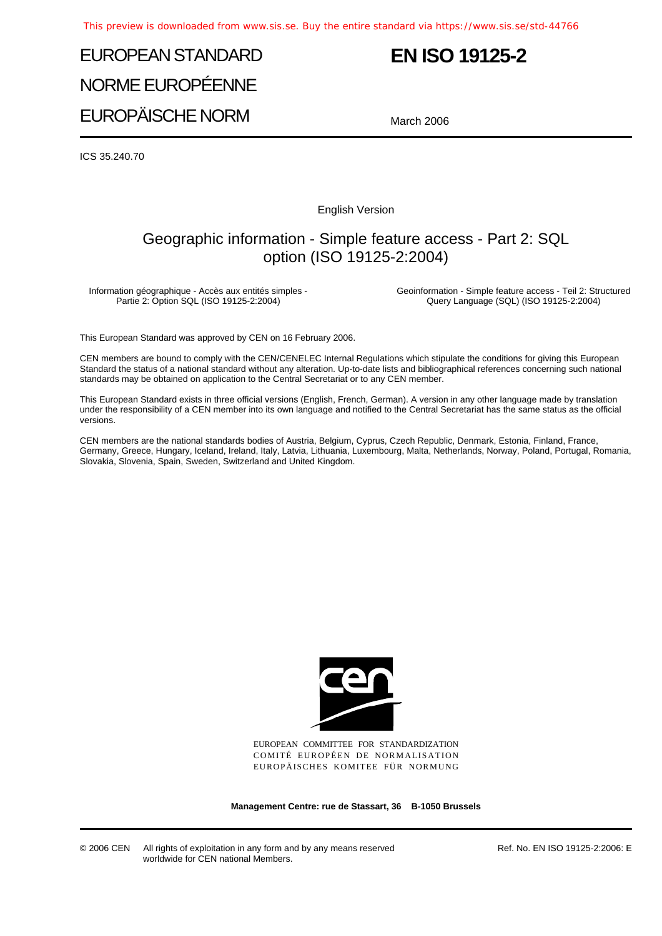## EUROPEAN STANDARD NORME EUROPÉENNE EUROPÄISCHE NORM

## **EN ISO 19125-2**

March 2006

ICS 35.240.70

English Version

### Geographic information - Simple feature access - Part 2: SQL option (ISO 19125-2:2004)

Information géographique - Accès aux entités simples - Partie 2: Option SQL (ISO 19125-2:2004)

Geoinformation - Simple feature access - Teil 2: Structured Query Language (SQL) (ISO 19125-2:2004)

This European Standard was approved by CEN on 16 February 2006.

CEN members are bound to comply with the CEN/CENELEC Internal Regulations which stipulate the conditions for giving this European Standard the status of a national standard without any alteration. Up-to-date lists and bibliographical references concerning such national standards may be obtained on application to the Central Secretariat or to any CEN member.

This European Standard exists in three official versions (English, French, German). A version in any other language made by translation under the responsibility of a CEN member into its own language and notified to the Central Secretariat has the same status as the official versions.

CEN members are the national standards bodies of Austria, Belgium, Cyprus, Czech Republic, Denmark, Estonia, Finland, France, Germany, Greece, Hungary, Iceland, Ireland, Italy, Latvia, Lithuania, Luxembourg, Malta, Netherlands, Norway, Poland, Portugal, Romania, Slovakia, Slovenia, Spain, Sweden, Switzerland and United Kingdom.



EUROPEAN COMMITTEE FOR STANDARDIZATION COMITÉ EUROPÉEN DE NORMALISATION EUROPÄISCHES KOMITEE FÜR NORMUNG

**Management Centre: rue de Stassart, 36 B-1050 Brussels**

© 2006 CEN All rights of exploitation in any form and by any means reserved worldwide for CEN national Members.

Ref. No. EN ISO 19125-2:2006: E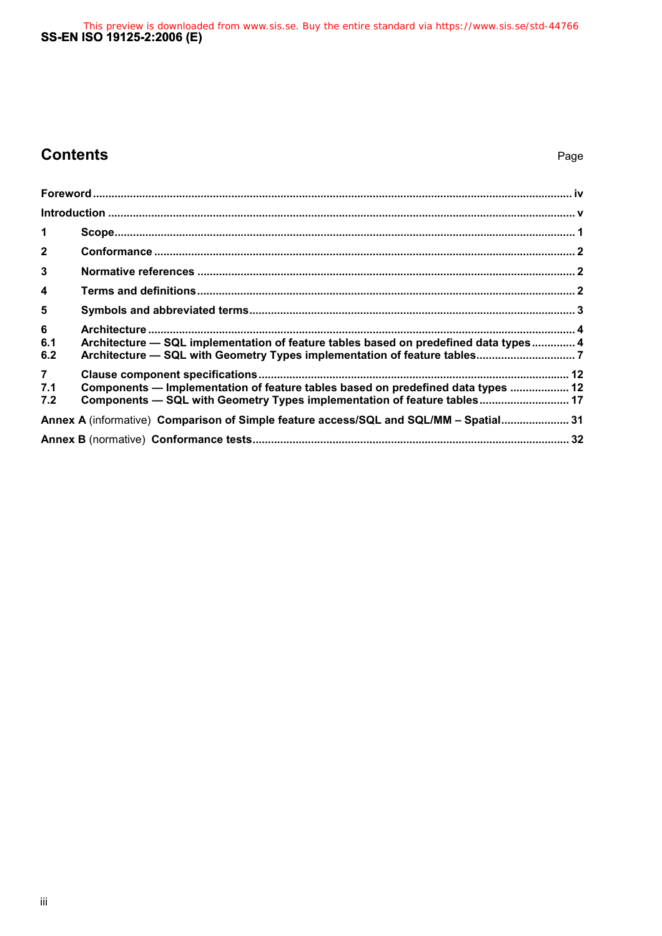**SS-EN ISO 19125-2:2006 (E)** This preview is downloaded from www.sis.se. Buy the entire standard via https://www.sis.se/std-44766

## **Contents** Page

| $\mathbf 1$                  |                                                                                                                                                              |  |
|------------------------------|--------------------------------------------------------------------------------------------------------------------------------------------------------------|--|
| $\overline{2}$               |                                                                                                                                                              |  |
| $\mathbf{3}$                 |                                                                                                                                                              |  |
| $\overline{\mathbf{4}}$      |                                                                                                                                                              |  |
| $5\phantom{1}$               |                                                                                                                                                              |  |
| $6\phantom{a}$<br>6.1<br>6.2 | Architecture - SQL implementation of feature tables based on predefined data types 4                                                                         |  |
| 7 <sup>7</sup><br>7.1<br>7.2 | Components — Implementation of feature tables based on predefined data types  12<br>Components - SQL with Geometry Types implementation of feature tables 17 |  |
|                              | Annex A (informative) Comparison of Simple feature access/SQL and SQL/MM - Spatial 31                                                                        |  |
|                              |                                                                                                                                                              |  |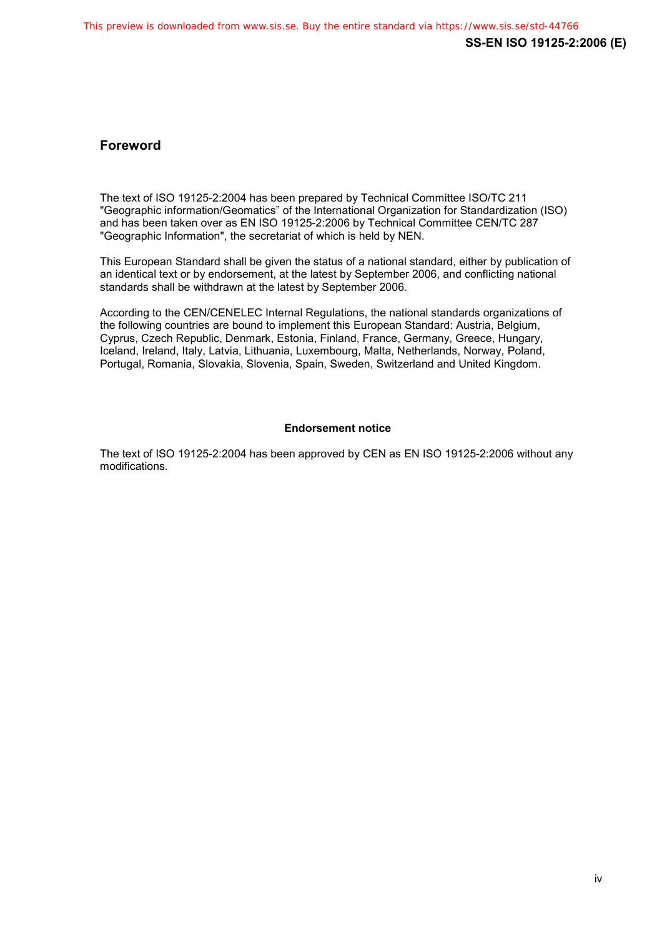#### **Foreword**

The text of ISO 19125-2:2004 has been prepared by Technical Committee ISO/TC 211 "Geographic information/Geomatics" of the International Organization for Standardization (ISO) and has been taken over as EN ISO 19125-2:2006 by Technical Committee CEN/TC 287 "Geographic Information", the secretariat of which is held by NEN.

This European Standard shall be given the status of a national standard, either by publication of an identical text or by endorsement, at the latest by September 2006, and conflicting national standards shall be withdrawn at the latest by September 2006.

According to the CEN/CENELEC Internal Regulations, the national standards organizations of the following countries are bound to implement this European Standard: Austria, Belgium, Cyprus, Czech Republic, Denmark, Estonia, Finland, France, Germany, Greece, Hungary, Iceland, Ireland, Italy, Latvia, Lithuania, Luxembourg, Malta, Netherlands, Norway, Poland, Portugal, Romania, Slovakia, Slovenia, Spain, Sweden, Switzerland and United Kingdom.

#### **Endorsement notice**

The text of ISO 19125-2:2004 has been approved by CEN as EN ISO 19125-2:2006 without any modifications.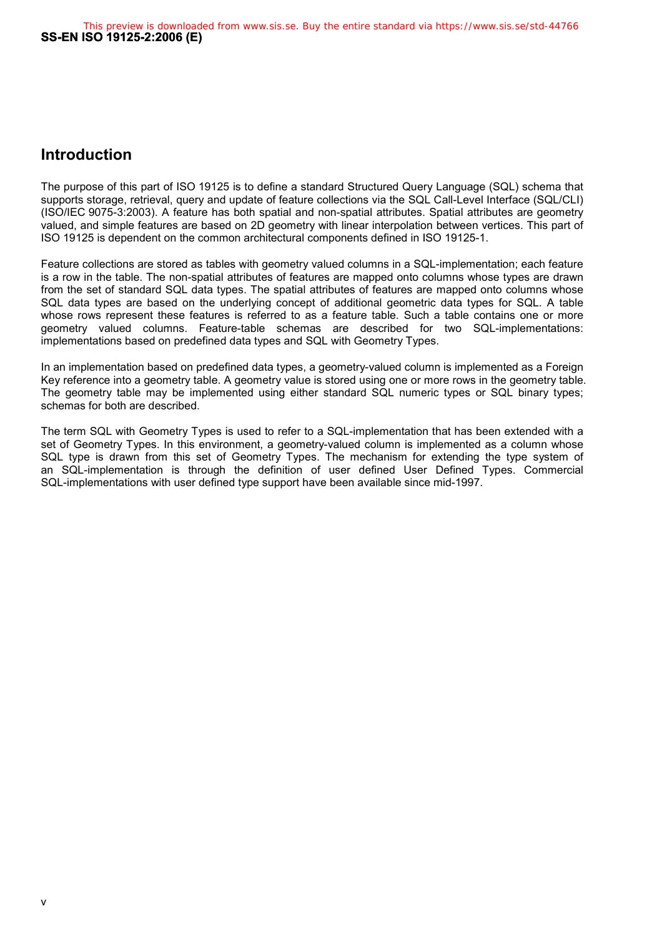### **Introduction**

The purpose of this part of ISO 19125 is to define a standard Structured Query Language (SQL) schema that supports storage, retrieval, query and update of feature collections via the SQL Call-Level Interface (SQL/CLI) (ISO/IEC 9075-3:2003). A feature has both spatial and non-spatial attributes. Spatial attributes are geometry valued, and simple features are based on 2D geometry with linear interpolation between vertices. This part of ISO 19125 is dependent on the common architectural components defined in ISO 19125-1.

Feature collections are stored as tables with geometry valued columns in a SQL-implementation; each feature is a row in the table. The non-spatial attributes of features are mapped onto columns whose types are drawn from the set of standard SQL data types. The spatial attributes of features are mapped onto columns whose SQL data types are based on the underlying concept of additional geometric data types for SQL. A table whose rows represent these features is referred to as a feature table. Such a table contains one or more geometry valued columns. Feature-table schemas are described for two SQL-implementations: implementations based on predefined data types and SQL with Geometry Types.

In an implementation based on predefined data types, a geometry-valued column is implemented as a Foreign Key reference into a geometry table. A geometry value is stored using one or more rows in the geometry table. The geometry table may be implemented using either standard SQL numeric types or SQL binary types; schemas for both are described.

The term SQL with Geometry Types is used to refer to a SQL-implementation that has been extended with a set of Geometry Types. In this environment, a geometry-valued column is implemented as a column whose SQL type is drawn from this set of Geometry Types. The mechanism for extending the type system of an SQL-implementation is through the definition of user defined User Defined Types. Commercial SQL-implementations with user defined type support have been available since mid-1997.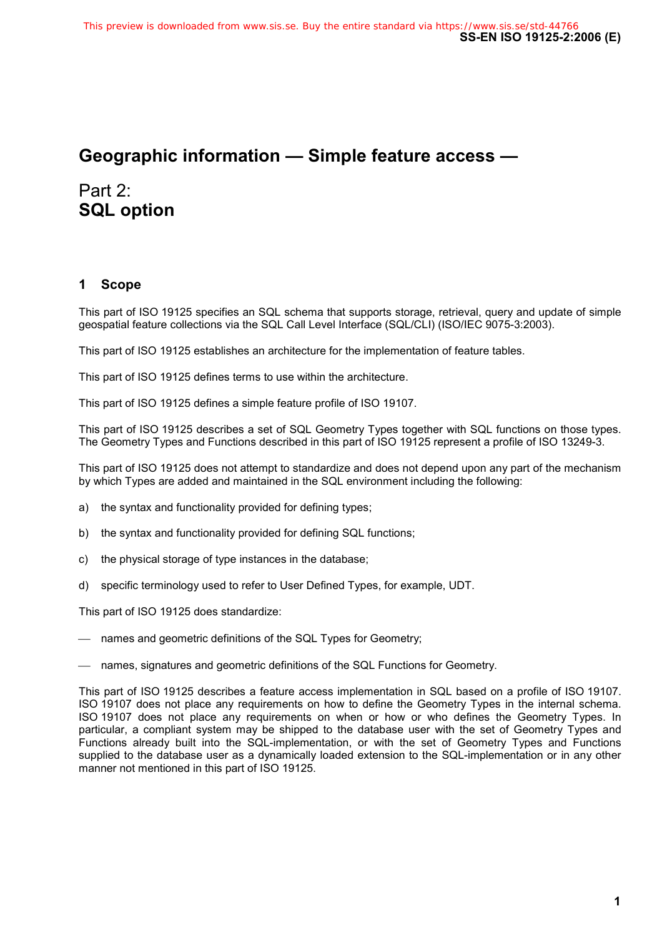## **Geographic information — Simple feature access —**

Part 2: **SQL option** 

### **1 Scope**

This part of ISO 19125 specifies an SQL schema that supports storage, retrieval, query and update of simple geospatial feature collections via the SQL Call Level Interface (SQL/CLI) (ISO/IEC 9075-3:2003).

This part of ISO 19125 establishes an architecture for the implementation of feature tables.

This part of ISO 19125 defines terms to use within the architecture.

This part of ISO 19125 defines a simple feature profile of ISO 19107.

This part of ISO 19125 describes a set of SQL Geometry Types together with SQL functions on those types. The Geometry Types and Functions described in this part of ISO 19125 represent a profile of ISO 13249-3.

This part of ISO 19125 does not attempt to standardize and does not depend upon any part of the mechanism by which Types are added and maintained in the SQL environment including the following:

- a) the syntax and functionality provided for defining types;
- b) the syntax and functionality provided for defining SQL functions;
- c) the physical storage of type instances in the database;
- d) specific terminology used to refer to User Defined Types, for example, UDT.

This part of ISO 19125 does standardize:

- names and geometric definitions of the SQL Types for Geometry;
- names, signatures and geometric definitions of the SQL Functions for Geometry.

This part of ISO 19125 describes a feature access implementation in SQL based on a profile of ISO 19107. ISO 19107 does not place any requirements on how to define the Geometry Types in the internal schema. ISO 19107 does not place any requirements on when or how or who defines the Geometry Types. In particular, a compliant system may be shipped to the database user with the set of Geometry Types and Functions already built into the SQL-implementation, or with the set of Geometry Types and Functions supplied to the database user as a dynamically loaded extension to the SQL-implementation or in any other manner not mentioned in this part of ISO 19125.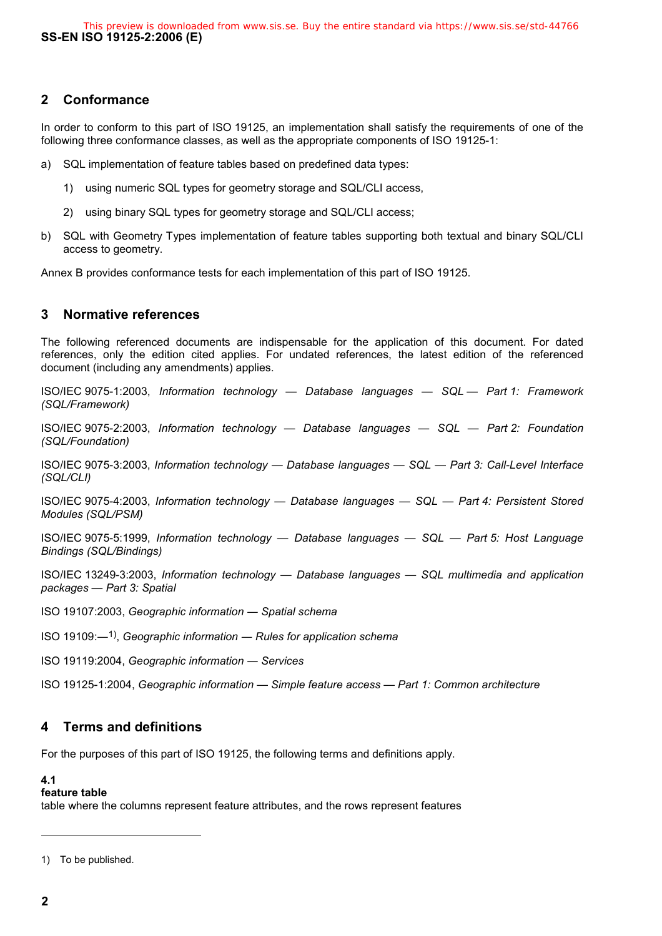#### **2 Conformance**

In order to conform to this part of ISO 19125, an implementation shall satisfy the requirements of one of the following three conformance classes, as well as the appropriate components of ISO 19125-1:

- a) SQL implementation of feature tables based on predefined data types:
	- 1) using numeric SQL types for geometry storage and SQL/CLI access,
	- 2) using binary SQL types for geometry storage and SQL/CLI access;
- b) SQL with Geometry Types implementation of feature tables supporting both textual and binary SQL/CLI access to geometry.

Annex B provides conformance tests for each implementation of this part of ISO 19125.

#### **3 Normative references**

The following referenced documents are indispensable for the application of this document. For dated references, only the edition cited applies. For undated references, the latest edition of the referenced document (including any amendments) applies.

ISO/IEC 9075-1:2003, *Information technology — Database languages — SQL — Part 1: Framework (SQL/Framework)*

ISO/IEC 9075-2:2003, *Information technology — Database languages — SQL — Part 2: Foundation (SQL/Foundation)*

ISO/IEC 9075-3:2003, *Information technology — Database languages — SQL — Part 3: Call-Level Interface (SQL/CLI)*

ISO/IEC 9075-4:2003, *Information technology — Database languages — SQL — Part 4: Persistent Stored Modules (SQL/PSM)*

ISO/IEC 9075-5:1999, *Information technology — Database languages — SQL — Part 5: Host Language Bindings (SQL/Bindings)*

ISO/IEC 13249-3:2003, *Information technology — Database languages — SQL multimedia and application packages — Part 3: Spatial*

ISO 19107:2003, *Geographic information ― Spatial schema*

ISO 19109:―1), *Geographic information ― Rules for application schema*

ISO 19119:2004, *Geographic information ― Services*

ISO 19125-1:2004, *Geographic information — Simple feature access — Part 1: Common architecture*

#### **4 Terms and definitions**

For the purposes of this part of ISO 19125, the following terms and definitions apply.

#### **4.1**

#### **feature table**

table where the columns represent feature attributes, and the rows represent features

l

<sup>1)</sup> To be published.